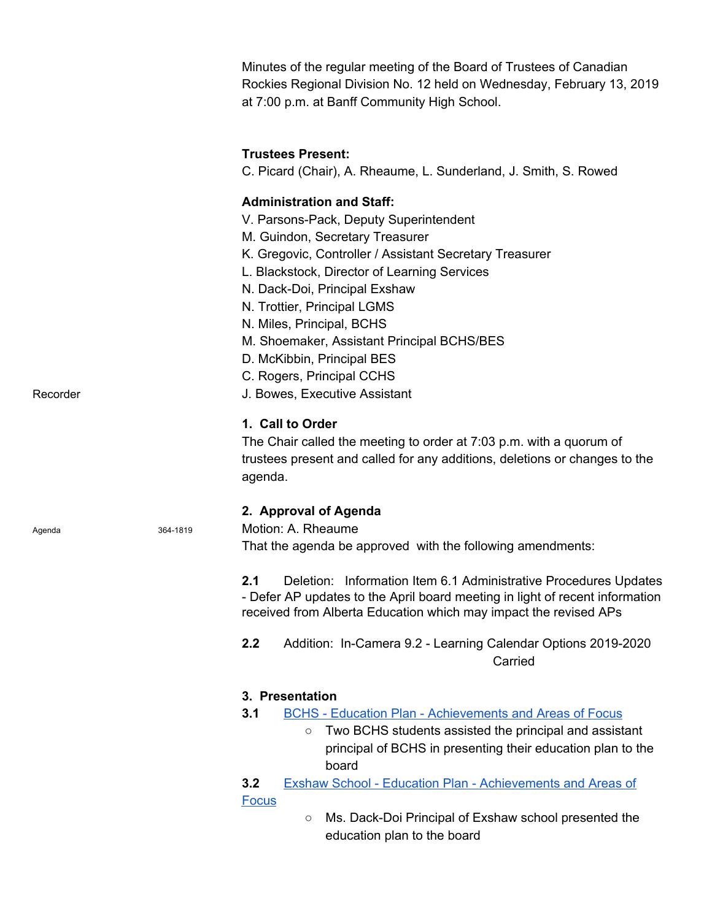|          |          | Minutes of the regular meeting of the Board of Trustees of Canadian<br>Rockies Regional Division No. 12 held on Wednesday, February 13, 2019<br>at 7:00 p.m. at Banff Community High School.                                                                                                                                                                                                                                                                    |
|----------|----------|-----------------------------------------------------------------------------------------------------------------------------------------------------------------------------------------------------------------------------------------------------------------------------------------------------------------------------------------------------------------------------------------------------------------------------------------------------------------|
|          |          | <b>Trustees Present:</b><br>C. Picard (Chair), A. Rheaume, L. Sunderland, J. Smith, S. Rowed                                                                                                                                                                                                                                                                                                                                                                    |
| Recorder |          | <b>Administration and Staff:</b><br>V. Parsons-Pack, Deputy Superintendent<br>M. Guindon, Secretary Treasurer<br>K. Gregovic, Controller / Assistant Secretary Treasurer<br>L. Blackstock, Director of Learning Services<br>N. Dack-Doi, Principal Exshaw<br>N. Trottier, Principal LGMS<br>N. Miles, Principal, BCHS<br>M. Shoemaker, Assistant Principal BCHS/BES<br>D. McKibbin, Principal BES<br>C. Rogers, Principal CCHS<br>J. Bowes, Executive Assistant |
|          |          | 1. Call to Order<br>The Chair called the meeting to order at 7:03 p.m. with a quorum of<br>trustees present and called for any additions, deletions or changes to the<br>agenda.                                                                                                                                                                                                                                                                                |
| Agenda   | 364-1819 | 2. Approval of Agenda<br>Motion: A. Rheaume<br>That the agenda be approved with the following amendments:                                                                                                                                                                                                                                                                                                                                                       |
|          |          | 2.1<br>Deletion: Information Item 6.1 Administrative Procedures Updates<br>- Defer AP updates to the April board meeting in light of recent information<br>received from Alberta Education which may impact the revised APs                                                                                                                                                                                                                                     |
|          |          | 2.2<br>Addition: In-Camera 9.2 - Learning Calendar Options 2019-2020<br>Carried                                                                                                                                                                                                                                                                                                                                                                                 |
|          |          | 3. Presentation<br>3.1<br><b>BCHS</b> - Education Plan - Achievements and Areas of Focus<br>Two BCHS students assisted the principal and assistant<br>$\circ$<br>principal of BCHS in presenting their education plan to the<br>board                                                                                                                                                                                                                           |
|          |          | 3.2<br><b>Exshaw School - Education Plan - Achievements and Areas of</b><br><b>Focus</b><br>Ms. Dack-Doi Principal of Exshaw school presented the<br>$\circlearrowright$<br>education plan to the board                                                                                                                                                                                                                                                         |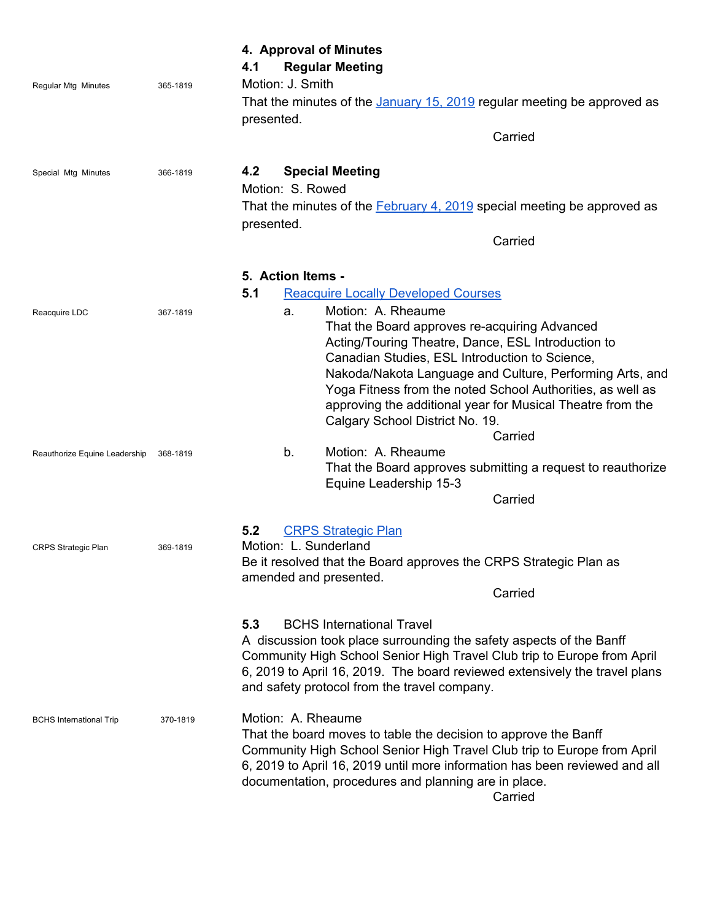|                                |          | 4. Approval of Minutes<br><b>Regular Meeting</b><br>4.1                                                                                                                                                                                                                                                                                                                                                                 |  |  |  |
|--------------------------------|----------|-------------------------------------------------------------------------------------------------------------------------------------------------------------------------------------------------------------------------------------------------------------------------------------------------------------------------------------------------------------------------------------------------------------------------|--|--|--|
| <b>Regular Mtg Minutes</b>     | 365-1819 | Motion: J. Smith                                                                                                                                                                                                                                                                                                                                                                                                        |  |  |  |
|                                |          | That the minutes of the January 15, 2019 regular meeting be approved as<br>presented.                                                                                                                                                                                                                                                                                                                                   |  |  |  |
|                                |          | Carried                                                                                                                                                                                                                                                                                                                                                                                                                 |  |  |  |
| Special Mtg Minutes            | 366-1819 | <b>Special Meeting</b><br>4.2<br>Motion: S. Rowed<br>That the minutes of the <b>February 4, 2019</b> special meeting be approved as<br>presented.                                                                                                                                                                                                                                                                       |  |  |  |
|                                |          | Carried                                                                                                                                                                                                                                                                                                                                                                                                                 |  |  |  |
|                                |          | 5. Action Items -<br>5.1<br><b>Reacquire Locally Developed Courses</b>                                                                                                                                                                                                                                                                                                                                                  |  |  |  |
| Reacquire LDC                  | 367-1819 | Motion: A. Rheaume<br>a.<br>That the Board approves re-acquiring Advanced<br>Acting/Touring Theatre, Dance, ESL Introduction to<br>Canadian Studies, ESL Introduction to Science,<br>Nakoda/Nakota Language and Culture, Performing Arts, and<br>Yoga Fitness from the noted School Authorities, as well as<br>approving the additional year for Musical Theatre from the<br>Calgary School District No. 19.<br>Carried |  |  |  |
| Reauthorize Equine Leadership  | 368-1819 | Motion: A. Rheaume<br>b.<br>That the Board approves submitting a request to reauthorize<br>Equine Leadership 15-3                                                                                                                                                                                                                                                                                                       |  |  |  |
|                                |          | Carried                                                                                                                                                                                                                                                                                                                                                                                                                 |  |  |  |
| <b>CRPS Strategic Plan</b>     | 369-1819 | 5.2<br><b>CRPS Strategic Plan</b><br>Motion: L. Sunderland<br>Be it resolved that the Board approves the CRPS Strategic Plan as<br>amended and presented.                                                                                                                                                                                                                                                               |  |  |  |
|                                |          | Carried                                                                                                                                                                                                                                                                                                                                                                                                                 |  |  |  |
|                                |          | 5.3<br><b>BCHS International Travel</b><br>A discussion took place surrounding the safety aspects of the Banff<br>Community High School Senior High Travel Club trip to Europe from April<br>6, 2019 to April 16, 2019. The board reviewed extensively the travel plans<br>and safety protocol from the travel company.                                                                                                 |  |  |  |
| <b>BCHS</b> International Trip | 370-1819 | Motion: A. Rheaume<br>That the board moves to table the decision to approve the Banff<br>Community High School Senior High Travel Club trip to Europe from April<br>6, 2019 to April 16, 2019 until more information has been reviewed and all<br>documentation, procedures and planning are in place.<br>Carried                                                                                                       |  |  |  |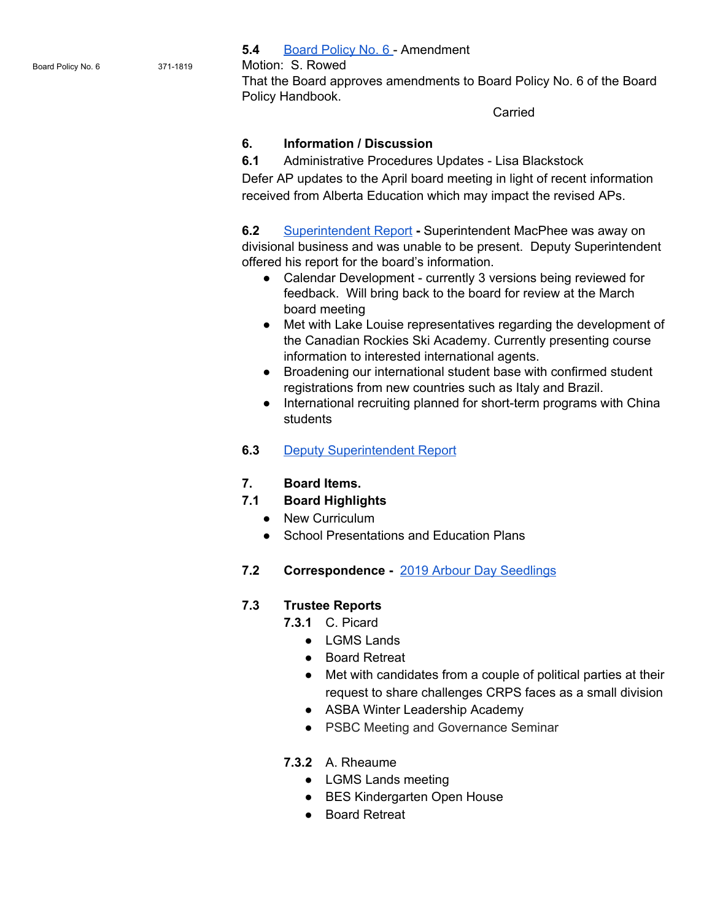**5.4** [Board Policy No. 6](https://drive.google.com/file/d/12gWRlYA9C0HD-sf0xvSE0mKrv6A7EZw4/view?usp=sharing) - Amendment

Board Policy No. 6 371-1819 Motion: S. Rowed

That the Board approves amendments to Board Policy No. 6 of the Board Policy Handbook.

Carried

#### **6. Information / Discussion**

**6.1** Administrative Procedures Updates - Lisa Blackstock

Defer AP updates to the April board meeting in light of recent information received from Alberta Education which may impact the revised APs.

**6.2** [Superintendent Report](https://drive.google.com/file/d/11S_xKw-MygH5JEOnVKHgIG5xRjP67YSm/view?usp=sharing) **-** Superintendent MacPhee was away on divisional business and was unable to be present. Deputy Superintendent offered his report for the board's information.

- Calendar Development currently 3 versions being reviewed for feedback. Will bring back to the board for review at the March board meeting
- Met with Lake Louise representatives regarding the development of the Canadian Rockies Ski Academy. Currently presenting course information to interested international agents.
- Broadening our international student base with confirmed student registrations from new countries such as Italy and Brazil.
- International recruiting planned for short-term programs with China students
- **6.3** [Deputy Superintendent Report](https://drive.google.com/file/d/16R-dvFy0g4VTJbxOjLLwl3bpXDEPSVGx/view?usp=sharing)
- **7. Board Items.**

### **7.1 Board Highlights**

- New Curriculum
- School Presentations and Education Plans
- **7.2 Correspondence** [2019 Arbour Day Seedlings](https://drive.google.com/file/d/11Ttr9In7fsYUnapKx9S1f-RJ2D-z13d0/view?usp=sharing)

### **7.3 Trustee Reports**

- **7.3.1** C. Picard
	- LGMS Lands
	- Board Retreat
	- Met with candidates from a couple of political parties at their request to share challenges CRPS faces as a small division
	- ASBA Winter Leadership Academy
	- PSBC Meeting and Governance Seminar
- **7.3.2** A. Rheaume
	- LGMS Lands meeting
	- BES Kindergarten Open House
	- Board Retreat